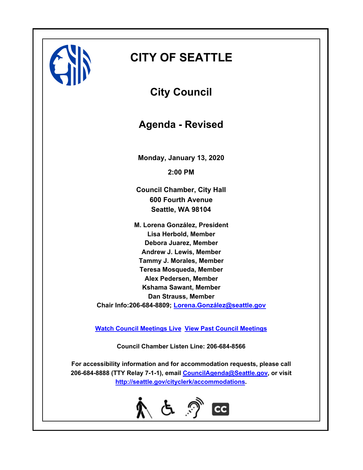

## **CITY OF SEATTLE**

**City Council**

**Agenda - Revised**

**Monday, January 13, 2020 2:00 PM**

**Council Chamber, City Hall 600 Fourth Avenue Seattle, WA 98104**

**M. Lorena González, President Lisa Herbold, Member Debora Juarez, Member Andrew J. Lewis, Member Tammy J. Morales, Member Teresa Mosqueda, Member Alex Pedersen, Member Kshama Sawant, Member Dan Strauss, Member Chair Info:206-684-8809; [Lorena.González@seattle.gov](mailto: Lorena.Gonzalez@seattle.gov)**

**[Watch Council Meetings Live](http://www.seattle.gov/council/councillive.htm) [View Past Council Meetings](http://www.seattlechannel.org/videos/browseVideos.asp?topic=council)**

**Council Chamber Listen Line: 206-684-8566**

**For accessibility information and for accommodation requests, please call 206-684-8888 (TTY Relay 7-1-1), email [CouncilAgenda@Seattle.gov](mailto: Council.Agenda@Seattle.gov), or visit <http://seattle.gov/cityclerk/accommodations>.**

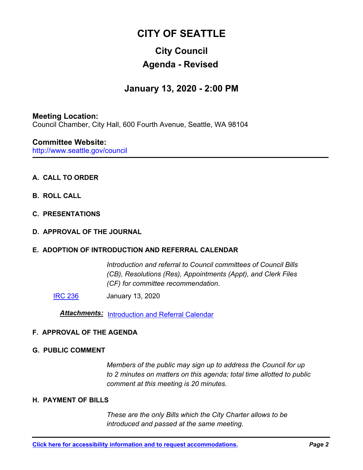# **CITY OF SEATTLE**

### **City Council Agenda - Revised**

# **January 13, 2020 - 2:00 PM**

#### **Meeting Location:** Council Chamber, City Hall, 600 Fourth Avenue, Seattle, WA 98104

#### http://www.seattle.gov/council **Committee Website:**

#### **A. CALL TO ORDER**

- **B. ROLL CALL**
- **C. PRESENTATIONS**
- **D. APPROVAL OF THE JOURNAL**

#### **E. ADOPTION OF INTRODUCTION AND REFERRAL CALENDAR**

*Introduction and referral to Council committees of Council Bills (CB), Resolutions (Res), Appointments (Appt), and Clerk Files (CF) for committee recommendation.*

**[IRC 236](http://seattle.legistar.com/gateway.aspx?m=l&id=/matter.aspx?key=9923)** January 13, 2020

*Attachments:* [Introduction and Referral Calendar](http://seattle.legistar.com/gateway.aspx?M=F&ID=bd724cf3-db6d-44b2-b5bd-5eb08eb0a1d7.pdf)

#### **F. APPROVAL OF THE AGENDA**

#### **G. PUBLIC COMMENT**

*Members of the public may sign up to address the Council for up to 2 minutes on matters on this agenda; total time allotted to public comment at this meeting is 20 minutes.*

#### **H. PAYMENT OF BILLS**

*These are the only Bills which the City Charter allows to be introduced and passed at the same meeting.*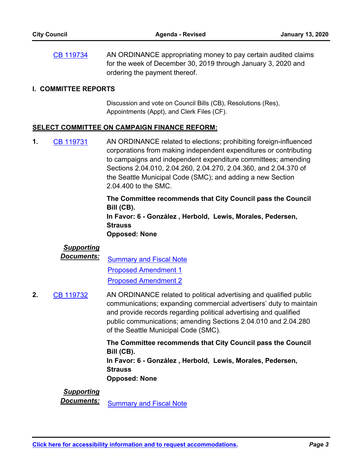AN ORDINANCE appropriating money to pay certain audited claims for the week of December 30, 2019 through January 3, 2020 and ordering the payment thereof. [CB 119734](http://seattle.legistar.com/gateway.aspx?m=l&id=/matter.aspx?key=9919)

#### **I. COMMITTEE REPORTS**

Discussion and vote on Council Bills (CB), Resolutions (Res), Appointments (Appt), and Clerk Files (CF).

#### **SELECT COMMITTEE ON CAMPAIGN FINANCE REFORM:**

AN ORDINANCE related to elections; prohibiting foreign-influenced corporations from making independent expenditures or contributing to campaigns and independent expenditure committees; amending Sections 2.04.010, 2.04.260, 2.04.270, 2.04.360, and 2.04.370 of the Seattle Municipal Code (SMC); and adding a new Section 2.04.400 to the SMC. **1.** [CB 119731](http://seattle.legistar.com/gateway.aspx?m=l&id=/matter.aspx?key=9899)

> **The Committee recommends that City Council pass the Council Bill (CB). In Favor: 6 - González , Herbold, Lewis, Morales, Pedersen, Strauss Opposed: None**

#### *Supporting*

*Documents:* [Summary and Fiscal Note](http://seattle.legistar.com/gateway.aspx?M=F&ID=3abe1e67-0582-4cfc-b353-d4e67410fa53.docx) [Proposed Amendment 1](http://seattle.legistar.com/gateway.aspx?M=F&ID=f945f3f8-c842-4dc4-837d-bfbcf65abda0.docx) [Proposed Amendment 2](http://seattle.legistar.com/gateway.aspx?M=F&ID=876af955-35ec-41ac-b51f-307035b07f58.docx)

AN ORDINANCE related to political advertising and qualified public communications; expanding commercial advertisers' duty to maintain and provide records regarding political advertising and qualified public communications; amending Sections 2.04.010 and 2.04.280 of the Seattle Municipal Code (SMC). **2.** [CB 119732](http://seattle.legistar.com/gateway.aspx?m=l&id=/matter.aspx?key=9900)

> **The Committee recommends that City Council pass the Council Bill (CB). In Favor: 6 - González , Herbold, Lewis, Morales, Pedersen, Strauss Opposed: None**

#### *Supporting*

**Documents:** [Summary and Fiscal Note](http://seattle.legistar.com/gateway.aspx?M=F&ID=0c27a7e9-325c-4278-b3cc-9cb2f7a1cb41.docx)